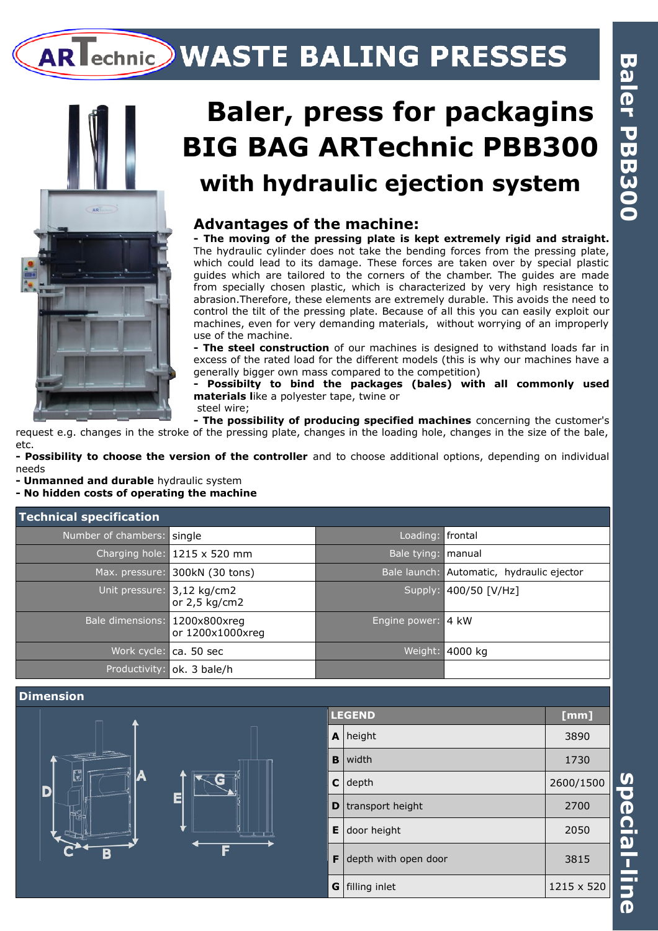# AR echnic WASTE BALING PRESSES



## **Baler, press for packagins BIG BAG ARTechnic PBB300 with hydraulic ejection system**

### **Advantages of the machine:**

**- The moving of the pressing plate is kept extremely rigid and straight.** The hydraulic cylinder does not take the bending forces from the pressing plate, which could lead to its damage. These forces are taken over by special plastic guides which are tailored to the corners of the chamber. The guides are made from specially chosen plastic, which is characterized by very high resistance to abrasion.Therefore, these elements are extremely durable. This avoids the need to control the tilt of the pressing plate. Because of all this you can easily exploit our machines, even for very demanding materials, without worrying of an improperly use of the machine.

**- The steel construction** of our machines is designed to withstand loads far in excess of the rated load for the different models (this is why our machines have a generally bigger own mass compared to the competition)

**- Possibilty to bind the packages (bales) with all commonly used materials like a polyester tape, twine or** steel wire;

**- The possibility of producing specified machines** concerning the customer's request e.g. changes in the stroke of the pressing plate, changes in the loading hole, changes in the size of the bale, etc.

**- Possibility to choose the version of the controller** and to choose additional options, depending on individual needs

**- Unmanned and durable** hydraulic system

**- No hidden costs of operating the machine**

| Technical specification       |                              |                    |                                           |
|-------------------------------|------------------------------|--------------------|-------------------------------------------|
| Number of chambers: single    |                              | Loading: Frontal   |                                           |
|                               | Charging hole: 1215 x 520 mm | Bale tying:        | l manual                                  |
| Max. pressure:                | 300kN (30 tons)              |                    | Bale launch: Automatic, hydraulic ejector |
| Unit pressure: 3,12 kg/cm2    | or 2,5 kg/cm2                |                    | Supply: 400/50 [V/Hz]                     |
| Bale dimensions: 1200x800xreg | or 1200x1000xreg             | Engine power: 4 kW |                                           |
|                               | Work cycle: ca. 50 sec       | Weight:            | 4000 kg                                   |
| Productivity:                 | ok. 3 bale/h                 |                    |                                           |



**s**

**e**

**cial-lin**

**e**